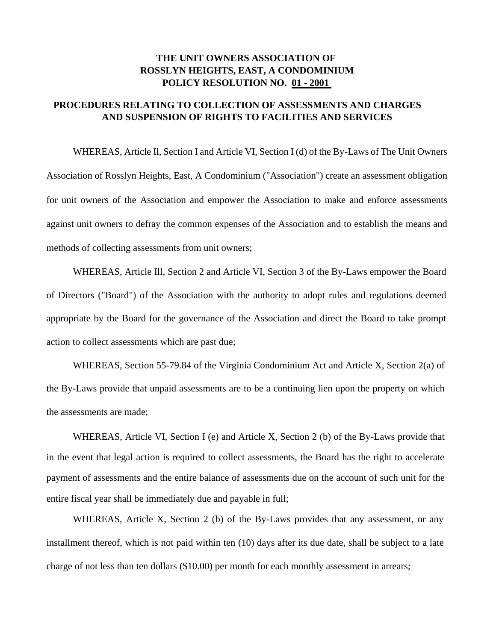## **THE UNIT OWNERS ASSOCIATION OF ROSSLYN HEIGHTS, EAST, A CONDOMINIUM POLICY RESOLUTION NO. 01 - 2001**

## **PROCEDURES RELATING TO COLLECTION OF ASSESSMENTS AND CHARGES AND SUSPENSION OF RIGHTS TO FACILITIES AND SERVICES**

WHEREAS, Article Il, Section I and Article VI, Section I (d) of the By-Laws of The Unit Owners Association of Rosslyn Heights, East, A Condominium ("Association") create an assessment obligation for unit owners of the Association and empower the Association to make and enforce assessments against unit owners to defray the common expenses of the Association and to establish the means and methods of collecting assessments from unit owners;

WHEREAS, Article Ill, Section 2 and Article VI, Section 3 of the By-Laws empower the Board of Directors ("Board") of the Association with the authority to adopt rules and regulations deemed appropriate by the Board for the governance of the Association and direct the Board to take prompt action to collect assessments which are past due;

WHEREAS, Section 55-79.84 of the Virginia Condominium Act and Article X, Section 2(a) of the By-Laws provide that unpaid assessments are to be a continuing lien upon the property on which the assessments are made;

WHEREAS, Article VI, Section I (e) and Article X, Section 2 (b) of the By-Laws provide that in the event that legal action is required to collect assessments, the Board has the right to accelerate payment of assessments and the entire balance of assessments due on the account of such unit for the entire fiscal year shall be immediately due and payable in full;

WHEREAS, Article X, Section 2 (b) of the By-Laws provides that any assessment, or any installment thereof, which is not paid within ten (10) days after its due date, shall be subject to a late charge of not less than ten dollars (\$10.00) per month for each monthly assessment in arrears;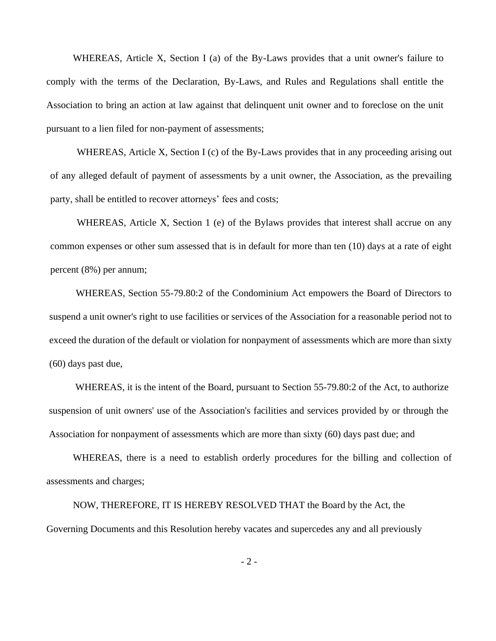WHEREAS, Article X, Section I (a) of the By-Laws provides that a unit owner's failure to comply with the terms of the Declaration, By-Laws, and Rules and Regulations shall entitle the Association to bring an action at law against that delinquent unit owner and to foreclose on the unit pursuant to a lien filed for non-payment of assessments;

WHEREAS, Article X, Section I (c) of the By-Laws provides that in any proceeding arising out of any alleged default of payment of assessments by a unit owner, the Association, as the prevailing party, shall be entitled to recover attorneys' fees and costs;

WHEREAS, Article X, Section 1 (e) of the Bylaws provides that interest shall accrue on any common expenses or other sum assessed that is in default for more than ten (10) days at a rate of eight percent (8%) per annum;

WHEREAS, Section 55-79.80:2 of the Condominium Act empowers the Board of Directors to suspend a unit owner's right to use facilities or services of the Association for a reasonable period not to exceed the duration of the default or violation for nonpayment of assessments which are more than sixty (60) days past due,

WHEREAS, it is the intent of the Board, pursuant to Section 55-79.80:2 of the Act, to authorize suspension of unit owners' use of the Association's facilities and services provided by or through the Association for nonpayment of assessments which are more than sixty (60) days past due; and

WHEREAS, there is a need to establish orderly procedures for the billing and collection of assessments and charges;

NOW, THEREFORE, IT IS HEREBY RESOLVED THAT the Board by the Act, the Governing Documents and this Resolution hereby vacates and supercedes any and all previously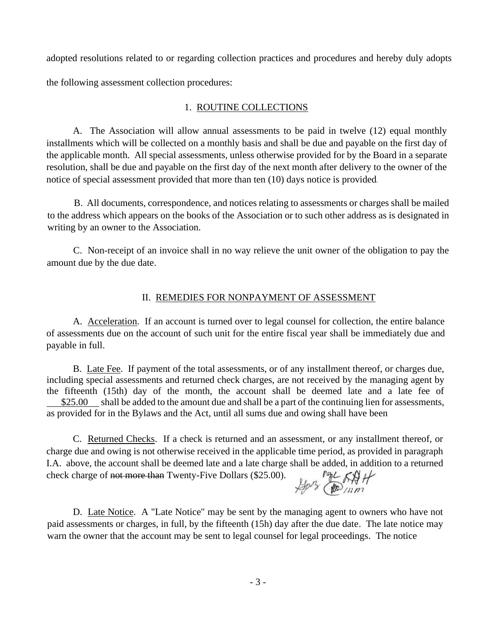adopted resolutions related to or regarding collection practices and procedures and hereby duly adopts the following assessment collection procedures:

## 1. ROUTINE COLLECTIONS

A. The Association will allow annual assessments to be paid in twelve (12) equal monthly installments which will be collected on a monthly basis and shall be due and payable on the first day of the applicable month. All special assessments, unless otherwise provided for by the Board in a separate resolution, shall be due and payable on the first day of the next month after delivery to the owner of the notice of special assessment provided that more than ten (10) days notice is provided

B. All documents, correspondence, and notices relating to assessments or charges shall be mailed to the address which appears on the books of the Association or to such other address as is designated in writing by an owner to the Association.

C. Non-receipt of an invoice shall in no way relieve the unit owner of the obligation to pay the amount due by the due date.

## II. REMEDIES FOR NONPAYMENT OF ASSESSMENT

A. Acceleration. If an account is turned over to legal counsel for collection, the entire balance of assessments due on the account of such unit for the entire fiscal year shall be immediately due and payable in full.

B. Late Fee. If payment of the total assessments, or of any installment thereof, or charges due, including special assessments and returned check charges, are not received by the managing agent by the fifteenth (15th) day of the month, the account shall be deemed late and a late fee of \$25.00 shall be added to the amount due and shall be a part of the continuing lien for assessments, as provided for in the Bylaws and the Act, until all sums due and owing shall have been

C. Returned Checks. If a check is returned and an assessment, or any installment thereof, or charge due and owing is not otherwise received in the applicable time period, as provided in paragraph I.A. above, the account shall be deemed late and a late charge shall be added, in addition to a returned check charge of not more than Twenty-Five Dollars (\$25.00).

Spos Comm

D. Late Notice. A "Late Notice" may be sent by the managing agent to owners who have not paid assessments or charges, in full, by the fifteenth (15h) day after the due date. The late notice may warn the owner that the account may be sent to legal counsel for legal proceedings. The notice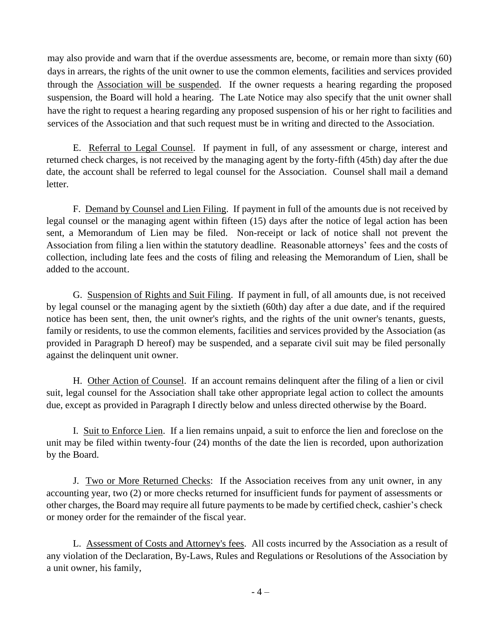may also provide and warn that if the overdue assessments are, become, or remain more than sixty (60) days in arrears, the rights of the unit owner to use the common elements, facilities and services provided through the Association will be suspended. If the owner requests a hearing regarding the proposed suspension, the Board will hold a hearing. The Late Notice may also specify that the unit owner shall have the right to request a hearing regarding any proposed suspension of his or her right to facilities and services of the Association and that such request must be in writing and directed to the Association.

E. Referral to Legal Counsel. If payment in full, of any assessment or charge, interest and returned check charges, is not received by the managing agent by the forty-fifth (45th) day after the due date, the account shall be referred to legal counsel for the Association. Counsel shall mail a demand letter.

F. Demand by Counsel and Lien Filing. If payment in full of the amounts due is not received by legal counsel or the managing agent within fifteen (15) days after the notice of legal action has been sent, a Memorandum of Lien may be filed. Non-receipt or lack of notice shall not prevent the Association from filing a lien within the statutory deadline. Reasonable attorneys' fees and the costs of collection, including late fees and the costs of filing and releasing the Memorandum of Lien, shall be added to the account.

G. Suspension of Rights and Suit Filing. If payment in full, of all amounts due, is not received by legal counsel or the managing agent by the sixtieth (60th) day after a due date, and if the required notice has been sent, then, the unit owner's rights, and the rights of the unit owner's tenants, guests, family or residents, to use the common elements, facilities and services provided by the Association (as provided in Paragraph D hereof) may be suspended, and a separate civil suit may be filed personally against the delinquent unit owner.

H. Other Action of Counsel. If an account remains delinquent after the filing of a lien or civil suit, legal counsel for the Association shall take other appropriate legal action to collect the amounts due, except as provided in Paragraph I directly below and unless directed otherwise by the Board.

I. Suit to Enforce Lien. If a lien remains unpaid, a suit to enforce the lien and foreclose on the unit may be filed within twenty-four (24) months of the date the lien is recorded, upon authorization by the Board.

J. Two or More Returned Checks: If the Association receives from any unit owner, in any accounting year, two (2) or more checks returned for insufficient funds for payment of assessments or other charges, the Board may require all future payments to be made by certified check, cashier's check or money order for the remainder of the fiscal year.

L. Assessment of Costs and Attorney's fees. All costs incurred by the Association as a result of any violation of the Declaration, By-Laws, Rules and Regulations or Resolutions of the Association by a unit owner, his family,